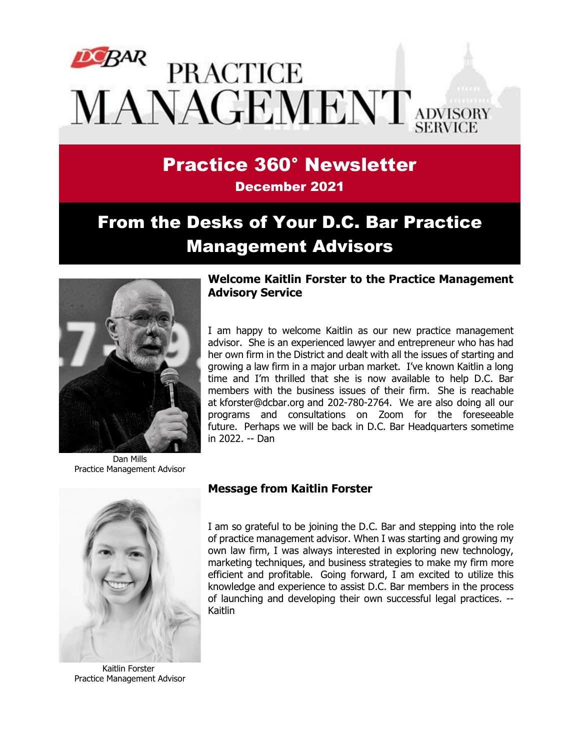# **PRACTICE** MANAGEMENT ADVISORY

# Practice 360° Newsletter

December 2021

# From the Desks of Your D.C. Bar Practice Management Advisors



Dan Mills Practice Management Advisor



Kaitlin Forster Practice Management Advisor

#### **Welcome Kaitlin Forster to the Practice Management Advisory Service**

I am happy to welcome Kaitlin as our new practice management advisor. She is an experienced lawyer and entrepreneur who has had her own firm in the District and dealt with all the issues of starting and growing a law firm in a major urban market. I've known Kaitlin a long time and I'm thrilled that she is now available to help D.C. Bar members with the business issues of their firm. She is reachable at [kforster@dcbar.org](mailto:kforster@dcbar.org) and 202-780-2764. We are also doing all our programs and consultations on Zoom for the foreseeable future. Perhaps we will be back in D.C. Bar Headquarters sometime in 2022. -- Dan

#### **Message from Kaitlin Forster**

I am so grateful to be joining the D.C. Bar and stepping into the role of practice management advisor. When I was starting and growing my own law firm, I was always interested in exploring new technology, marketing techniques, and business strategies to make my firm more efficient and profitable. Going forward, I am excited to utilize this knowledge and experience to assist D.C. Bar members in the process of launching and developing their own successful legal practices. -- Kaitlin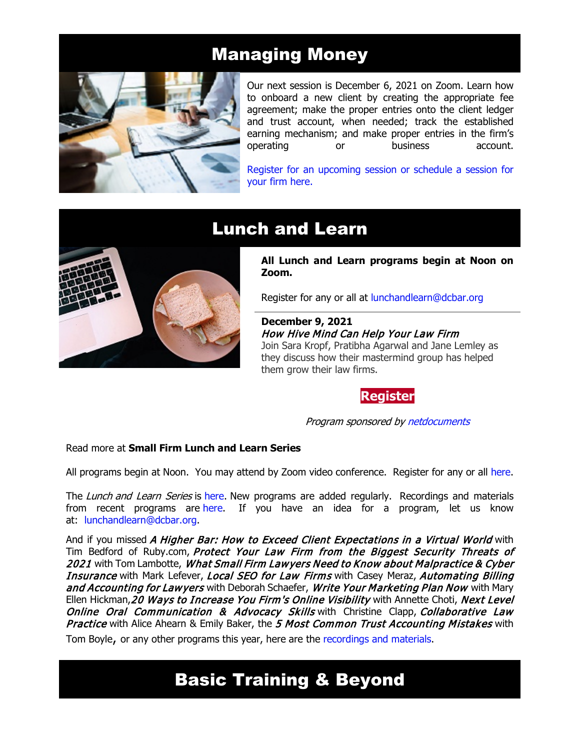## Managing Money



Our next session is December 6, 2021 on Zoom. Learn how to onboard a new client by creating the appropriate fee agreement; make the proper entries onto the client ledger and trust account, when needed; track the established earning mechanism; and make proper entries in the firm's<br>operating or business account. operating or business account.

[Register for an upcoming session or schedule a session for](https://www.dcbar.org/for-lawyers/practice-management-advisory-service/courses-and-trainings/managing-money?utm_source=Real%20Magnet&utm_medium=INSERT_CHANNEL&utm_campaign=INSERT_LINK_ID)  [your firm here.](https://www.dcbar.org/for-lawyers/practice-management-advisory-service/courses-and-trainings/managing-money?utm_source=Real%20Magnet&utm_medium=INSERT_CHANNEL&utm_campaign=INSERT_LINK_ID) 



# Lunch and Learn

**All Lunch and Learn programs begin at Noon on Zoom.**

Register for any or all at [lunchandlearn@dcbar.org](mailto:lunchandlearn@dcbar.org?subject=Lunch%20and%20Learn)

**December 9, 2021** How Hive Mind Can Help Your Law Firm Join Sara Kropf, Pratibha Agarwal and Jane Lemley as they discuss how their mastermind group has helped them grow their law firms.

**[Register](https://dcbar.inreachce.com/Details/Information/c6ef5347-58ab-4cdf-aba5-456c50f7bc1d)**

Program sponsored by [netdocuments](https://www.netdocuments.com/ad/turn-chaos-into-collaboration?utm_source=dcbar&utm_medium=link&utm_campaignid=&utm_campaign=360news)

#### Read more at **[Small Firm Lunch](https://www.dcbar.org/for-lawyers/practice-management-advisory-service/courses-and-trainings/small-firm-lunch-and-learn-series?utm_source=Real%20Magnet&utm_medium=INSERT_CHANNEL&utm_campaign=INSERT_LINK_ID) and Learn Series**

All programs begin at Noon. You may attend by Zoom video conference. Register for any or all [here.](https://www.dcbar.org/for-lawyers/practice-management-advisory-service/courses-and-trainings/small-firm-lunch-and-learn-series?utm_source=Real%20Magnet&utm_medium=INSERT_CHANNEL&utm_campaign=INSERT_LINK_ID)

The Lunch and Learn Series is [here.](https://www.dcbar.org/for-lawyers/practice-management-advisory-service/courses-and-trainings/small-firm-lunch-and-learn-series?utm_source=Real%20Magnet&utm_medium=INSERT_CHANNEL&utm_campaign=INSERT_LINK_ID) New programs are added regularly. Recordings and materials from recent programs are [here.](https://www.dcbar.org/for-lawyers/practice-management-advisory-service/courses-and-trainings/small-firm-lunch-and-learn-series/past-lunch-and-learn-programs?utm_source=Real%20Magnet&utm_medium=INSERT_CHANNEL&utm_campaign=INSERT_LINK_ID) If you have an idea for a program, let us know at: [lunchandlearn@dcbar.org.](mailto:lunchandlearn@dcbar.org)

And if you missed A Higher Bar: How to Exceed Client Expectations in a Virtual World with Tim Bedford of Ruby.com, Protect Your Law Firm from the Biggest Security Threats of 2021 with Tom Lambotte, What Small Firm Lawyers Need to Know about Malpractice & Cyber Insurance with Mark Lefever, Local SEO for Law Firms with Casey Meraz, Automating Billing and Accounting for Lawyers with Deborah Schaefer, Write Your Marketing Plan Now with Mary Ellen Hickman, 20 Ways to Increase You Firm's Online Visibility with Annette Choti, Next Level **Online Oral Communication & Advocacy Skills with Christine Clapp, Collaborative Law** Practice with Alice Ahearn & Emily Baker, the 5 Most Common Trust Accounting Mistakes with

Tom Boyle, or any other programs this year, here are the [recordings and materials.](https://www.dcbar.org/for-lawyers/practice-management-advisory-service/courses-and-trainings/small-firm-lunch-and-learn-series/past-lunch-and-learn-programs?utm_source=Real%20Magnet&utm_medium=INSERT_CHANNEL&utm_campaign=INSERT_LINK_ID)

# Basic Training & Beyond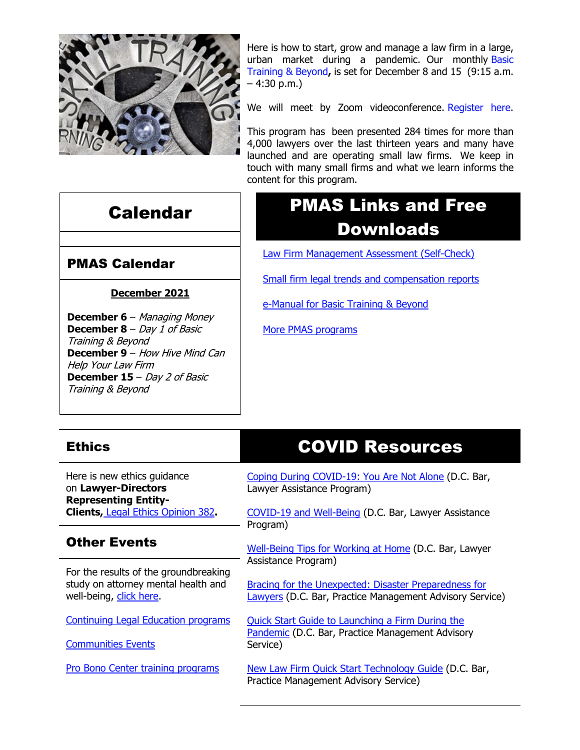

Calendar

Here is how to start, grow and manage a law firm in a large, urban market during a pandemic. Our monthly [Basic](http://www.mmsend31.com/link.cfm?r=zvkjaWqFFUTRz65Avl-Ftw%7E%7E&pe=c3ph7NU-Re1l6uj-xoZC_Nqnf2HGTrpIRRfl_qZmlgZN_I06rShTZ-AlGs0Wp7CGgKUozsdU2izsioLhmXaRbg%7E%7E&t=prXb-jowJMuBRf73r4YKRA%7E%7E)  [Training & Beyond](http://www.mmsend31.com/link.cfm?r=zvkjaWqFFUTRz65Avl-Ftw%7E%7E&pe=c3ph7NU-Re1l6uj-xoZC_Nqnf2HGTrpIRRfl_qZmlgZN_I06rShTZ-AlGs0Wp7CGgKUozsdU2izsioLhmXaRbg%7E%7E&t=prXb-jowJMuBRf73r4YKRA%7E%7E)**,** is set for December 8 and 15 (9:15 a.m. – 4:30 p.m.)

We will meet by Zoom videoconference [Register here.](http://www.mmsend31.com/link.cfm?r=zvkjaWqFFUTRz65Avl-Ftw%7E%7E&pe=BxjSlIjTK_3i3Os02s37pODjnSEaSaIBfLm0UarKy-K07-G29KY0F7SoVNdKQgSYIVrXVvuyFBcMiPY5X35JOA%7E%7E&t=prXb-jowJMuBRf73r4YKRA%7E%7E)

This program has been presented 284 times for more than 4,000 lawyers over the last thirteen years and many have launched and are operating small law firms. We keep in touch with many small firms and what we learn informs the content for this program.

# PMAS Links and Free Downloads

[Law Firm Management Assessment \(Self-Check\)](https://www.dcbar.org/for-lawyers/practice-management-advisory-service/practice-tips-and-compliance/self-check?utm_source=Real%20Magnet&utm_medium=INSERT_CHANNEL&utm_campaign=INSERT_LINK_ID)

[Small firm legal trends and compensation reports](https://www.dcbar.org/for-lawyers/practice-management-advisory-service/courses-and-trainings/basic-training-beyond/basic-training-beyond-supplements?utm_source=Real%20Magnet&utm_medium=INSERT_CHANNEL&utm_campaign=INSERT_LINK_ID)

[e-Manual for Basic Training & Beyond](https://documentcloud.adobe.com/link/review?uri=urn:aaid:scds:US:2182dc5f-4a8c-435d-bb76-280eddc57a6d)

[More PMAS programs](https://www.dcbar.org/for-lawyers/practice-management-advisory-service/courses-and-trainings?utm_source=Real%20Magnet&utm_medium=INSERT_CHANNEL&utm_campaign=INSERT_LINK_ID)

### **December 2021**

PMAS Calendar

**December 6** – Managing Money **December 8** – Day 1 of Basic Training & Beyond **December 9** – How Hive Mind Can Help Your Law Firm **December 15** – Day 2 of Basic Training & Beyond

# COVID Resources

Here is new ethics guidance on **Lawyer-Directors Representing Entity-Clients,** [Legal Ethics Opinion 382](https://www.dcbar.org/For-Lawyers/Legal-Ethics/Ethics-Opinions-210-Present/Ethics-Opinion-382?utm_source=Real%20Magnet&utm_medium=INSERT_CHANNEL&utm_campaign=INSERT_LINK_ID)**.**

#### Other Events

**Ethics** 

For the results of the groundbreaking study on attorney mental health and well-being, [click here.](https://www.dcbar.org/news-events/news/california-lawyers-association-and-the-d-c-bar-ann?utm_source=Real%20Magnet&utm_medium=INSERT_CHANNEL&utm_campaign=INSERT_LINK_ID)

[Continuing Legal Education programs](https://dcbar.inreachce.com/SearchResults?searchType=1&category=b7426509-0fca-4650-bf8a-8c9ace05de88)

[Communities Events](https://join.dcbar.org/eweb/DynamicPage.aspx?site=dcbar&webcode=EventList&utm_source=Real%20Magnet&utm_medium=INSERT_CHANNEL&utm_campaign=INSERT_LINK_ID)

[Pro Bono Center training programs](https://www.dcbar.org/pro-bono/resources-and-training/pro-bono-center-training-program?utm_source=Real%20Magnet&utm_medium=INSERT_CHANNEL&utm_campaign=INSERT_LINK_ID)

[Coping During COVID-19: You Are Not Alone](https://www.dcbar.org/news-events/news/coping-during-covid-19-you-are-not-alone?utm_source=Real%20Magnet&utm_medium=INSERT_CHANNEL&utm_campaign=INSERT_LINK_ID) (D.C. Bar, Lawyer Assistance Program)

[COVID-19 and Well-Being](https://dcbarcms-uat3.i3digital.com/DCBar/i3Base/DCBar/For%20Lawyers/Lawyer%20Assistance%20Program/PDFs/covid-19-and-well-being.pdf) (D.C. Bar, Lawyer Assistance Program)

[Well-Being Tips for Working at Home](https://dcbarcms-uat3.i3digital.com/DCBar/i3Base/DCBar/For%20Lawyers/Lawyer%20Assistance%20Program/PDFs/Wellness-Tips-Working-From-Home.pdf) (D.C. Bar, Lawyer Assistance Program)

[Bracing for the Unexpected: Disaster Preparedness for](https://www.dcbar.org/news-events/news/bracing-for-the-unexpected-disaster-preparedness-f?utm_source=Real%20Magnet&utm_medium=INSERT_CHANNEL&utm_campaign=INSERT_LINK_ID)  [Lawyers](https://www.dcbar.org/news-events/news/bracing-for-the-unexpected-disaster-preparedness-f?utm_source=Real%20Magnet&utm_medium=INSERT_CHANNEL&utm_campaign=INSERT_LINK_ID) (D.C. Bar, Practice Management Advisory Service)

[Quick Start Guide to Launching a Firm During the](https://www.dcbar.org/getmedia/d28b7c4b-3dcb-419e-828d-fdc2340588f9/Career-disruption-setting-up-a-law-firm-quickly-resources?utm_source=Real%20Magnet&utm_medium=INSERT_CHANNEL&utm_campaign=INSERT_LINK_ID)  [Pandemic](https://www.dcbar.org/getmedia/d28b7c4b-3dcb-419e-828d-fdc2340588f9/Career-disruption-setting-up-a-law-firm-quickly-resources?utm_source=Real%20Magnet&utm_medium=INSERT_CHANNEL&utm_campaign=INSERT_LINK_ID) (D.C. Bar, Practice Management Advisory Service)

[New Law Firm Quick Start Technology Guide](https://www.dcbar.org/getmedia/34a3addd-9a13-4fc7-8e68-fbc2be8b50e0/Quick-start-Tech-Guide-final?utm_source=Real%20Magnet&utm_medium=INSERT_CHANNEL&utm_campaign=INSERT_LINK_ID) (D.C. Bar, Practice Management Advisory Service)